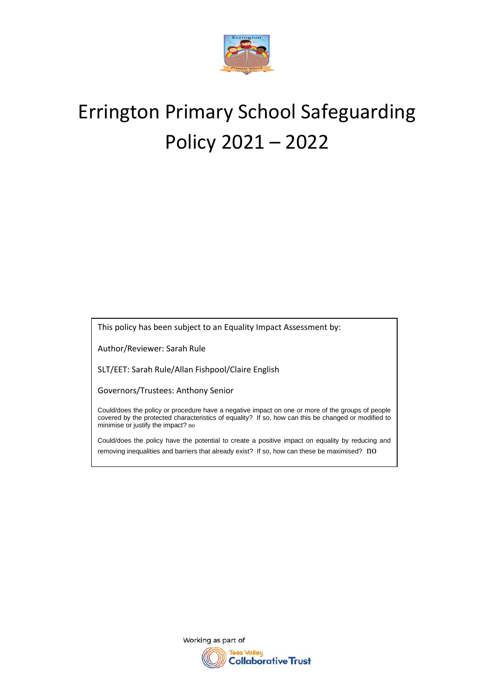

# Errington Primary School Safeguarding Policy 2021 – 2022

This policy has been subject to an Equality Impact Assessment by:

Author/Reviewer: Sarah Rule

SLT/EET: Sarah Rule/Allan Fishpool/Claire English

Governors/Trustees: Anthony Senior

Could/does the policy or procedure have a negative impact on one or more of the groups of people covered by the protected characteristics of equality? If so, how can this be changed or modified to minimise or justify the impact? no

Could/does the policy have the potential to create a positive impact on equality by reducing and removing inequalities and barriers that already exist? If so, how can these be maximised? no

> Working as part of es Valley **Collaborative Trust**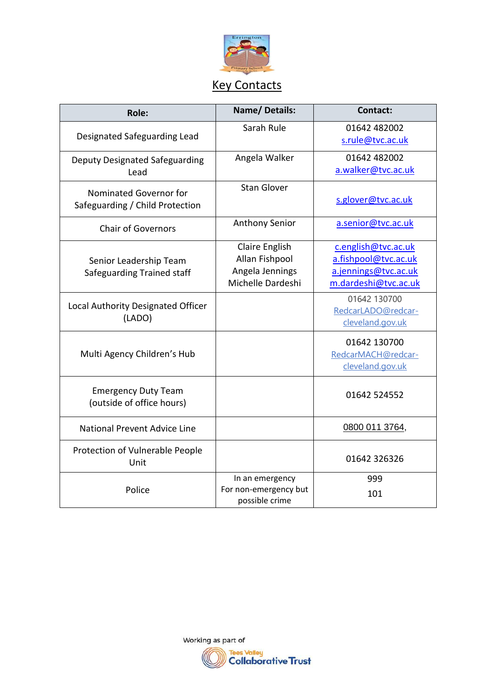

# Key Contacts

| <b>Role:</b>                                              | <b>Name/Details:</b>                                                     | <b>Contact:</b>                                                                             |
|-----------------------------------------------------------|--------------------------------------------------------------------------|---------------------------------------------------------------------------------------------|
| Designated Safeguarding Lead                              | Sarah Rule                                                               | 01642 482002<br>s.rule@tvc.ac.uk                                                            |
| <b>Deputy Designated Safeguarding</b><br>Lead             | Angela Walker                                                            | 01642 482002<br>a.walker@tvc.ac.uk                                                          |
| Nominated Governor for<br>Safeguarding / Child Protection | <b>Stan Glover</b>                                                       | s.glover@tvc.ac.uk                                                                          |
| <b>Chair of Governors</b>                                 | <b>Anthony Senior</b>                                                    | a.senior@tvc.ac.uk                                                                          |
| Senior Leadership Team<br>Safeguarding Trained staff      | Claire English<br>Allan Fishpool<br>Angela Jennings<br>Michelle Dardeshi | c.english@tvc.ac.uk<br>a.fishpool@tvc.ac.uk<br>a.jennings@tvc.ac.uk<br>m.dardeshi@tvc.ac.uk |
| Local Authority Designated Officer<br>(LADO)              |                                                                          | 01642 130700<br>RedcarLADO@redcar-<br>cleveland.gov.uk                                      |
| Multi Agency Children's Hub                               |                                                                          | 01642 130700<br>RedcarMACH@redcar-<br>cleveland.gov.uk                                      |
| <b>Emergency Duty Team</b><br>(outside of office hours)   |                                                                          | 01642 524552                                                                                |
| <b>National Prevent Advice Line</b>                       |                                                                          | 0800 011 3764,                                                                              |
| Protection of Vulnerable People<br>Unit                   |                                                                          | 01642 326326                                                                                |
| Police                                                    | In an emergency<br>For non-emergency but<br>possible crime               | 999<br>101                                                                                  |

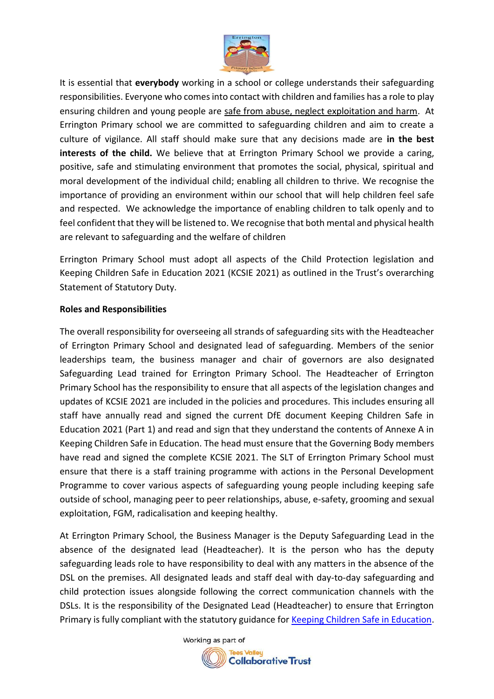

It is essential that **everybody** working in a school or college understands their safeguarding responsibilities. Everyone who comes into contact with children and families has a role to play ensuring children and young people are safe from abuse, neglect exploitation and harm. At Errington Primary school we are committed to safeguarding children and aim to create a culture of vigilance. All staff should make sure that any decisions made are **in the best interests of the child.** We believe that at Errington Primary School we provide a caring, positive, safe and stimulating environment that promotes the social, physical, spiritual and moral development of the individual child; enabling all children to thrive. We recognise the importance of providing an environment within our school that will help children feel safe and respected. We acknowledge the importance of enabling children to talk openly and to feel confident that they will be listened to. We recognise that both mental and physical health are relevant to safeguarding and the welfare of children

Errington Primary School must adopt all aspects of the Child Protection legislation and Keeping Children Safe in Education 2021 (KCSIE 2021) as outlined in the Trust's overarching Statement of Statutory Duty.

### **Roles and Responsibilities**

The overall responsibility for overseeing all strands of safeguarding sits with the Headteacher of Errington Primary School and designated lead of safeguarding. Members of the senior leaderships team, the business manager and chair of governors are also designated Safeguarding Lead trained for Errington Primary School. The Headteacher of Errington Primary School has the responsibility to ensure that all aspects of the legislation changes and updates of KCSIE 2021 are included in the policies and procedures. This includes ensuring all staff have annually read and signed the current DfE document Keeping Children Safe in Education 2021 (Part 1) and read and sign that they understand the contents of Annexe A in Keeping Children Safe in Education. The head must ensure that the Governing Body members have read and signed the complete KCSIE 2021. The SLT of Errington Primary School must ensure that there is a staff training programme with actions in the Personal Development Programme to cover various aspects of safeguarding young people including keeping safe outside of school, managing peer to peer relationships, abuse, e-safety, grooming and sexual exploitation, FGM, radicalisation and keeping healthy.

At Errington Primary School, the Business Manager is the Deputy Safeguarding Lead in the absence of the designated lead (Headteacher). It is the person who has the deputy safeguarding leads role to have responsibility to deal with any matters in the absence of the DSL on the premises. All designated leads and staff deal with day-to-day safeguarding and child protection issues alongside following the correct communication channels with the DSLs. It is the responsibility of the Designated Lead (Headteacher) to ensure that Errington Primary is fully compliant with the statutory guidance for [Keeping Children Safe in Education.](https://assets.publishing.service.gov.uk/government/uploads/system/uploads/attachment_data/file/741314/Keeping_Children_Safe_in_Education__3_September_2018_14.09.18.pdf)

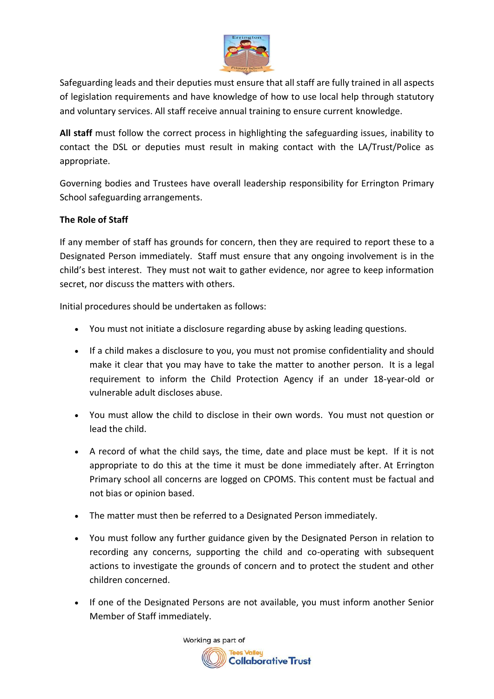

Safeguarding leads and their deputies must ensure that all staff are fully trained in all aspects of legislation requirements and have knowledge of how to use local help through statutory and voluntary services. All staff receive annual training to ensure current knowledge.

**All staff** must follow the correct process in highlighting the safeguarding issues, inability to contact the DSL or deputies must result in making contact with the LA/Trust/Police as appropriate.

Governing bodies and Trustees have overall leadership responsibility for Errington Primary School safeguarding arrangements.

## **The Role of Staff**

If any member of staff has grounds for concern, then they are required to report these to a Designated Person immediately. Staff must ensure that any ongoing involvement is in the child's best interest. They must not wait to gather evidence, nor agree to keep information secret, nor discuss the matters with others.

Initial procedures should be undertaken as follows:

- You must not initiate a disclosure regarding abuse by asking leading questions.
- If a child makes a disclosure to you, you must not promise confidentiality and should make it clear that you may have to take the matter to another person. It is a legal requirement to inform the Child Protection Agency if an under 18-year-old or vulnerable adult discloses abuse.
- You must allow the child to disclose in their own words. You must not question or lead the child.
- A record of what the child says, the time, date and place must be kept. If it is not appropriate to do this at the time it must be done immediately after. At Errington Primary school all concerns are logged on CPOMS. This content must be factual and not bias or opinion based.
- The matter must then be referred to a Designated Person immediately.
- You must follow any further guidance given by the Designated Person in relation to recording any concerns, supporting the child and co-operating with subsequent actions to investigate the grounds of concern and to protect the student and other children concerned.
- If one of the Designated Persons are not available, you must inform another Senior Member of Staff immediately.

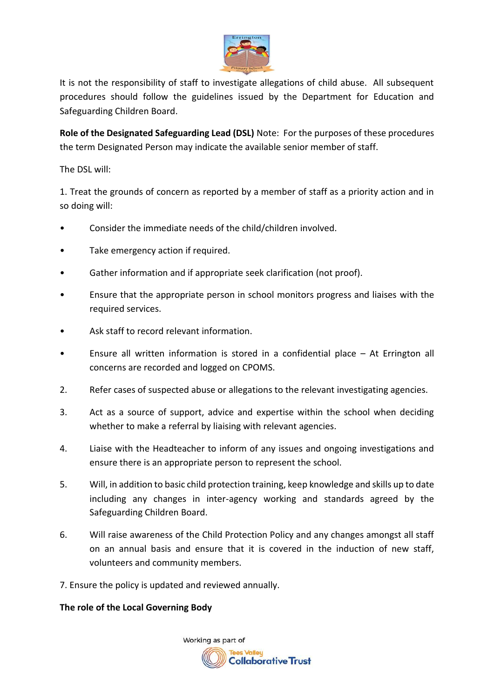

It is not the responsibility of staff to investigate allegations of child abuse. All subsequent procedures should follow the guidelines issued by the Department for Education and Safeguarding Children Board.

**Role of the Designated Safeguarding Lead (DSL)** Note: For the purposes of these procedures the term Designated Person may indicate the available senior member of staff.

The DSL will:

1. Treat the grounds of concern as reported by a member of staff as a priority action and in so doing will:

- Consider the immediate needs of the child/children involved.
- Take emergency action if required.
- Gather information and if appropriate seek clarification (not proof).
- Ensure that the appropriate person in school monitors progress and liaises with the required services.
- Ask staff to record relevant information.
- Ensure all written information is stored in a confidential place  $-$  At Errington all concerns are recorded and logged on CPOMS.
- 2. Refer cases of suspected abuse or allegations to the relevant investigating agencies.
- 3. Act as a source of support, advice and expertise within the school when deciding whether to make a referral by liaising with relevant agencies.
- 4. Liaise with the Headteacher to inform of any issues and ongoing investigations and ensure there is an appropriate person to represent the school.
- 5. Will, in addition to basic child protection training, keep knowledge and skills up to date including any changes in inter-agency working and standards agreed by the Safeguarding Children Board.
- 6. Will raise awareness of the Child Protection Policy and any changes amongst all staff on an annual basis and ensure that it is covered in the induction of new staff, volunteers and community members.
- 7. Ensure the policy is updated and reviewed annually.

# **The role of the Local Governing Body**

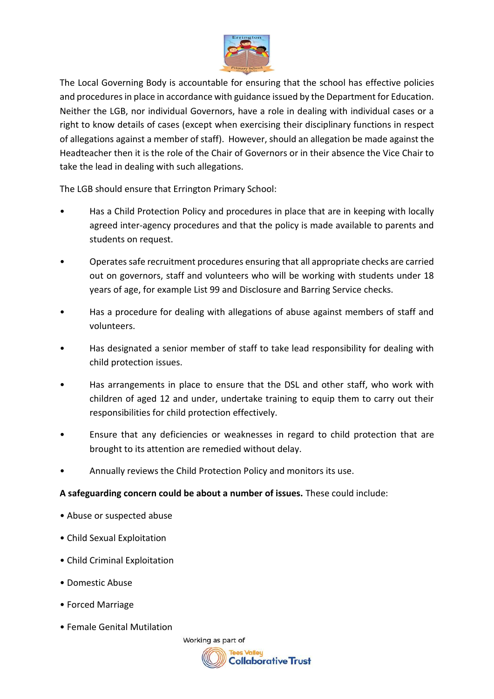

The Local Governing Body is accountable for ensuring that the school has effective policies and procedures in place in accordance with guidance issued by the Department for Education. Neither the LGB, nor individual Governors, have a role in dealing with individual cases or a right to know details of cases (except when exercising their disciplinary functions in respect of allegations against a member of staff). However, should an allegation be made against the Headteacher then it is the role of the Chair of Governors or in their absence the Vice Chair to take the lead in dealing with such allegations.

The LGB should ensure that Errington Primary School:

- Has a Child Protection Policy and procedures in place that are in keeping with locally agreed inter-agency procedures and that the policy is made available to parents and students on request.
- Operates safe recruitment procedures ensuring that all appropriate checks are carried out on governors, staff and volunteers who will be working with students under 18 years of age, for example List 99 and Disclosure and Barring Service checks.
- Has a procedure for dealing with allegations of abuse against members of staff and volunteers.
- Has designated a senior member of staff to take lead responsibility for dealing with child protection issues.
- Has arrangements in place to ensure that the DSL and other staff, who work with children of aged 12 and under, undertake training to equip them to carry out their responsibilities for child protection effectively.
- Ensure that any deficiencies or weaknesses in regard to child protection that are brought to its attention are remedied without delay.
- Annually reviews the Child Protection Policy and monitors its use.

# **A safeguarding concern could be about a number of issues.** These could include:

- Abuse or suspected abuse
- Child Sexual Exploitation
- Child Criminal Exploitation
- Domestic Abuse
- Forced Marriage
- Female Genital Mutilation

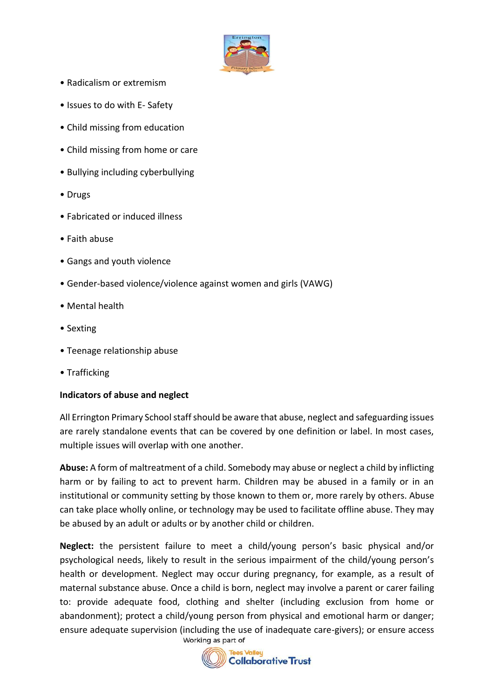

- Radicalism or extremism
- Issues to do with E- Safety
- Child missing from education
- Child missing from home or care
- Bullying including cyberbullying
- Drugs
- Fabricated or induced illness
- Faith abuse
- Gangs and youth violence
- Gender-based violence/violence against women and girls (VAWG)
- Mental health
- Sexting
- Teenage relationship abuse
- Trafficking

### **Indicators of abuse and neglect**

All Errington Primary School staff should be aware that abuse, neglect and safeguarding issues are rarely standalone events that can be covered by one definition or label. In most cases, multiple issues will overlap with one another.

**Abuse:** A form of maltreatment of a child. Somebody may abuse or neglect a child by inflicting harm or by failing to act to prevent harm. Children may be abused in a family or in an institutional or community setting by those known to them or, more rarely by others. Abuse can take place wholly online, or technology may be used to facilitate offline abuse. They may be abused by an adult or adults or by another child or children.

**Neglect:** the persistent failure to meet a child/young person's basic physical and/or psychological needs, likely to result in the serious impairment of the child/young person's health or development. Neglect may occur during pregnancy, for example, as a result of maternal substance abuse. Once a child is born, neglect may involve a parent or carer failing to: provide adequate food, clothing and shelter (including exclusion from home or abandonment); protect a child/young person from physical and emotional harm or danger; ensure adequate supervision (including the use of inadequate care-givers); or ensure access

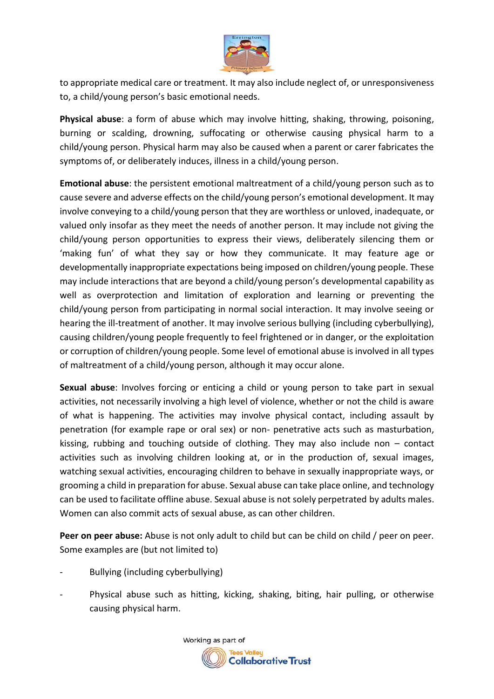

to appropriate medical care or treatment. It may also include neglect of, or unresponsiveness to, a child/young person's basic emotional needs.

**Physical abuse**: a form of abuse which may involve hitting, shaking, throwing, poisoning, burning or scalding, drowning, suffocating or otherwise causing physical harm to a child/young person. Physical harm may also be caused when a parent or carer fabricates the symptoms of, or deliberately induces, illness in a child/young person.

**Emotional abuse**: the persistent emotional maltreatment of a child/young person such as to cause severe and adverse effects on the child/young person's emotional development. It may involve conveying to a child/young person that they are worthless or unloved, inadequate, or valued only insofar as they meet the needs of another person. It may include not giving the child/young person opportunities to express their views, deliberately silencing them or 'making fun' of what they say or how they communicate. It may feature age or developmentally inappropriate expectations being imposed on children/young people. These may include interactions that are beyond a child/young person's developmental capability as well as overprotection and limitation of exploration and learning or preventing the child/young person from participating in normal social interaction. It may involve seeing or hearing the ill-treatment of another. It may involve serious bullying (including cyberbullying), causing children/young people frequently to feel frightened or in danger, or the exploitation or corruption of children/young people. Some level of emotional abuse is involved in all types of maltreatment of a child/young person, although it may occur alone.

**Sexual abuse**: Involves forcing or enticing a child or young person to take part in sexual activities, not necessarily involving a high level of violence, whether or not the child is aware of what is happening. The activities may involve physical contact, including assault by penetration (for example rape or oral sex) or non- penetrative acts such as masturbation, kissing, rubbing and touching outside of clothing. They may also include non – contact activities such as involving children looking at, or in the production of, sexual images, watching sexual activities, encouraging children to behave in sexually inappropriate ways, or grooming a child in preparation for abuse. Sexual abuse can take place online, and technology can be used to facilitate offline abuse. Sexual abuse is not solely perpetrated by adults males. Women can also commit acts of sexual abuse, as can other children.

**Peer on peer abuse:** Abuse is not only adult to child but can be child on child / peer on peer. Some examples are (but not limited to)

- Bullying (including cyberbullying)
- Physical abuse such as hitting, kicking, shaking, biting, hair pulling, or otherwise causing physical harm.

Working as part of **Collaborative Trust**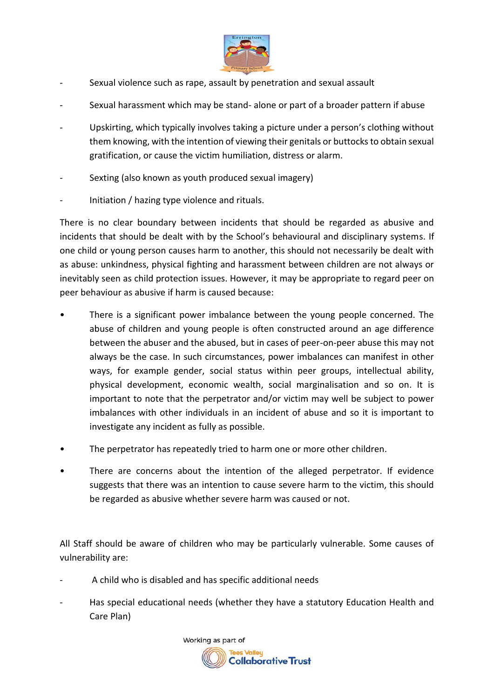

- Sexual violence such as rape, assault by penetration and sexual assault
- Sexual harassment which may be stand- alone or part of a broader pattern if abuse
- Upskirting, which typically involves taking a picture under a person's clothing without them knowing, with the intention of viewing their genitals or buttocks to obtain sexual gratification, or cause the victim humiliation, distress or alarm.
- Sexting (also known as youth produced sexual imagery)
- Initiation / hazing type violence and rituals.

There is no clear boundary between incidents that should be regarded as abusive and incidents that should be dealt with by the School's behavioural and disciplinary systems. If one child or young person causes harm to another, this should not necessarily be dealt with as abuse: unkindness, physical fighting and harassment between children are not always or inevitably seen as child protection issues. However, it may be appropriate to regard peer on peer behaviour as abusive if harm is caused because:

- There is a significant power imbalance between the young people concerned. The abuse of children and young people is often constructed around an age difference between the abuser and the abused, but in cases of peer-on-peer abuse this may not always be the case. In such circumstances, power imbalances can manifest in other ways, for example gender, social status within peer groups, intellectual ability, physical development, economic wealth, social marginalisation and so on. It is important to note that the perpetrator and/or victim may well be subject to power imbalances with other individuals in an incident of abuse and so it is important to investigate any incident as fully as possible.
- The perpetrator has repeatedly tried to harm one or more other children.
- There are concerns about the intention of the alleged perpetrator. If evidence suggests that there was an intention to cause severe harm to the victim, this should be regarded as abusive whether severe harm was caused or not.

All Staff should be aware of children who may be particularly vulnerable. Some causes of vulnerability are:

- A child who is disabled and has specific additional needs
- Has special educational needs (whether they have a statutory Education Health and Care Plan)

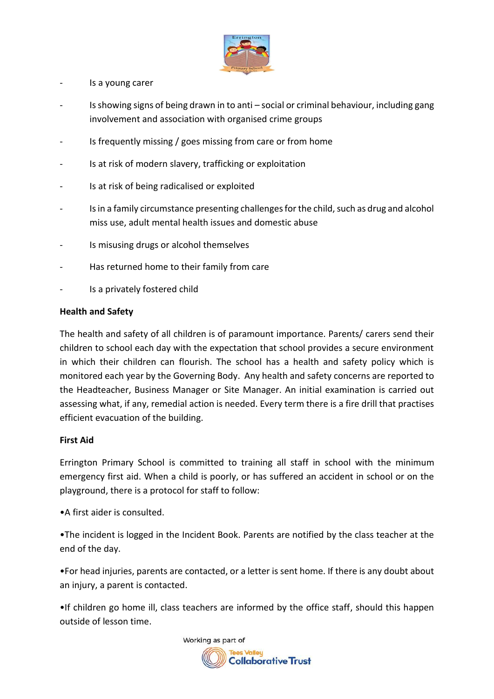

- Is a young carer
- Is showing signs of being drawn in to anti social or criminal behaviour, including gang involvement and association with organised crime groups
- Is frequently missing / goes missing from care or from home
- Is at risk of modern slavery, trafficking or exploitation
- Is at risk of being radicalised or exploited
- Is in a family circumstance presenting challenges for the child, such as drug and alcohol miss use, adult mental health issues and domestic abuse
- Is misusing drugs or alcohol themselves
- Has returned home to their family from care
- Is a privately fostered child

#### **Health and Safety**

The health and safety of all children is of paramount importance. Parents/ carers send their children to school each day with the expectation that school provides a secure environment in which their children can flourish. The school has a health and safety policy which is monitored each year by the Governing Body. Any health and safety concerns are reported to the Headteacher, Business Manager or Site Manager. An initial examination is carried out assessing what, if any, remedial action is needed. Every term there is a fire drill that practises efficient evacuation of the building.

#### **First Aid**

Errington Primary School is committed to training all staff in school with the minimum emergency first aid. When a child is poorly, or has suffered an accident in school or on the playground, there is a protocol for staff to follow:

•A first aider is consulted.

•The incident is logged in the Incident Book. Parents are notified by the class teacher at the end of the day.

•For head injuries, parents are contacted, or a letter is sent home. If there is any doubt about an injury, a parent is contacted.

•If children go home ill, class teachers are informed by the office staff, should this happen outside of lesson time.

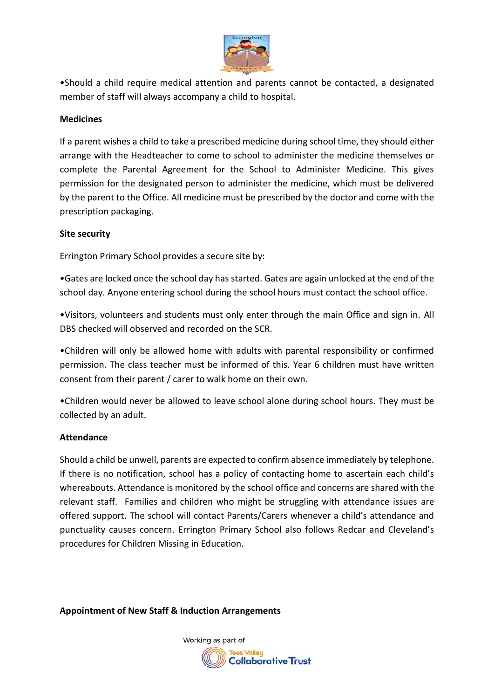

•Should a child require medical attention and parents cannot be contacted, a designated member of staff will always accompany a child to hospital.

### **Medicines**

If a parent wishes a child to take a prescribed medicine during school time, they should either arrange with the Headteacher to come to school to administer the medicine themselves or complete the Parental Agreement for the School to Administer Medicine. This gives permission for the designated person to administer the medicine, which must be delivered by the parent to the Office. All medicine must be prescribed by the doctor and come with the prescription packaging.

### **Site security**

Errington Primary School provides a secure site by:

•Gates are locked once the school day has started. Gates are again unlocked at the end of the school day. Anyone entering school during the school hours must contact the school office.

•Visitors, volunteers and students must only enter through the main Office and sign in. All DBS checked will observed and recorded on the SCR.

•Children will only be allowed home with adults with parental responsibility or confirmed permission. The class teacher must be informed of this. Year 6 children must have written consent from their parent / carer to walk home on their own.

•Children would never be allowed to leave school alone during school hours. They must be collected by an adult.

### **Attendance**

Should a child be unwell, parents are expected to confirm absence immediately by telephone. If there is no notification, school has a policy of contacting home to ascertain each child's whereabouts. Attendance is monitored by the school office and concerns are shared with the relevant staff. Families and children who might be struggling with attendance issues are offered support. The school will contact Parents/Carers whenever a child's attendance and punctuality causes concern. Errington Primary School also follows Redcar and Cleveland's procedures for Children Missing in Education.

**Appointment of New Staff & Induction Arrangements**

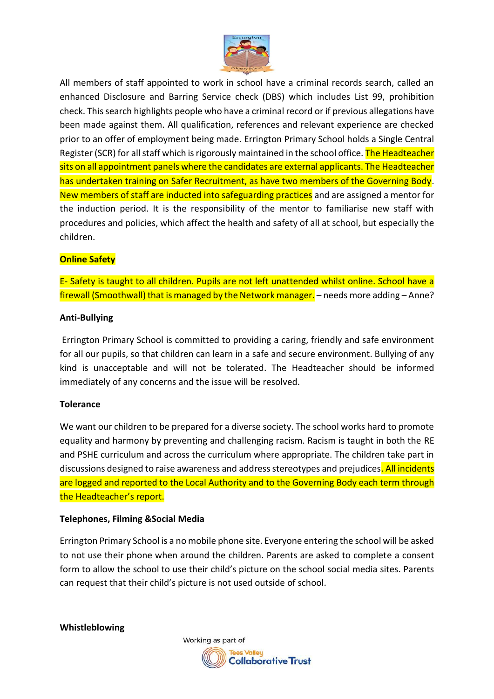

All members of staff appointed to work in school have a criminal records search, called an enhanced Disclosure and Barring Service check (DBS) which includes List 99, prohibition check. This search highlights people who have a criminal record or if previous allegations have been made against them. All qualification, references and relevant experience are checked prior to an offer of employment being made. Errington Primary School holds a Single Central Register (SCR) for all staff which is rigorously maintained in the school office. The Headteacher sits on all appointment panels where the candidates are external applicants. The Headteacher has undertaken training on Safer Recruitment, as have two members of the Governing Body. New members of staff are inducted into safeguarding practices and are assigned a mentor for the induction period. It is the responsibility of the mentor to familiarise new staff with procedures and policies, which affect the health and safety of all at school, but especially the children.

# **Online Safety**

E- Safety is taught to all children. Pupils are not left unattended whilst online. School have a firewall (Smoothwall) that is managed by the Network manager. – needs more adding – Anne?

#### **Anti-Bullying**

Errington Primary School is committed to providing a caring, friendly and safe environment for all our pupils, so that children can learn in a safe and secure environment. Bullying of any kind is unacceptable and will not be tolerated. The Headteacher should be informed immediately of any concerns and the issue will be resolved.

#### **Tolerance**

We want our children to be prepared for a diverse society. The school works hard to promote equality and harmony by preventing and challenging racism. Racism is taught in both the RE and PSHE curriculum and across the curriculum where appropriate. The children take part in discussions designed to raise awareness and address stereotypes and prejudices. All incidents are logged and reported to the Local Authority and to the Governing Body each term through the Headteacher's report.

#### **Telephones, Filming &Social Media**

Errington Primary School is a no mobile phone site. Everyone entering the school will be asked to not use their phone when around the children. Parents are asked to complete a consent form to allow the school to use their child's picture on the school social media sites. Parents can request that their child's picture is not used outside of school.

**Whistleblowing**

Working as part of **Collaborative Trust**